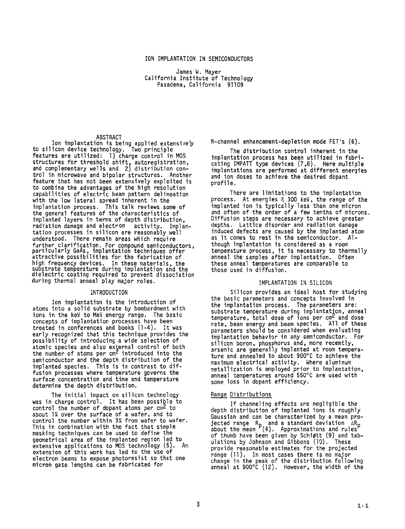# ION IMPLANTATION **IN** SEMICONDUCTORS

James W. Mayer California Institute of Technology Pasadena, California 91109

## ABSTRACT

Ion implantation is being applied extensively to silicon device technology. Two principle features are utilized: 1) charge control in MOS structures for threshold shift, autoregistrat and complementary wells and 2) distribution control in microwave and bipolar structures. Another feature that has not been extensively exploited is to combine the advantages of the high resolution capabilities of electric beam pattern delineation with the low lateral spread inherent in the implantation process. This talk reviews some of the general features of the characteristics of implanted layers in terms of depth distribution, radiation damage and electron activity. Implantation processes in silicon are reasonably well understood. There remain areas which require further clarification, For compound semiconductors,<br>particularly GaAs, implantation techniques offer attractive possibilities for the fabrication of attractive possibilities for the fabrication of<br>high frequency devices. In these materials, the<br>substrate temperature during implantation and the<br>dielectric coating required to prevent dissociatio during thermal anneal play major roles.

## INTRODUCTION

atoms into a solid substrate by bombardment with ions in the keV to MeV energy range. The basic concepts of implantation processes have been treated in conferences and books (1-4). It was early recognized that this technique provides the possibility of introducing a wide selection of atomic species and also external control of both the number of atoms per  $cm<sup>2</sup>$  introduced into the semiconductor and the depth distribution of the implanted species. This is'in contrast to diffusion processes where temperature governs the surface concentration and time and temperature determine the depth distribution. Ion implantation is the introduction of

The initial impact on silicon technology was in charge control. It has been possible to control the number of dopant atoms per cm<sup>2</sup> to about 1% over the surface of a wafer, and to control the number within 3% from wafer to wafer. This in combination with the fact that simple masking techniques can be used to define the geometrical area of the implanted region led to extensive applications to MOS technology **(5).** An extension of this work has led to the use of electron beams to expose photoresist so that one micron gate lengths can be fabricated for

N-channel enhancement-depletion mode FET's (6).

The distribution control inherent in the implantation process has been utilized in fabricating IMPATT type devices **(7,8).** Here multiple implantations are performed at different energies and ion doses to achieve the desired dopant profile.

There are limitations to the implantation process. At energies  $6, 300$  keV, the range of the implanted ion is typically less than one micron and often of the order of a few tenths of microns. Diffusion steps are necessary to achieve greater depths. Lattice disorder and radiation damage induced defects are caused by the implanted atom as it comes to rest in the semiconductor. Although implantation is considered as a room temperature process, it is necessary to thermally anneal the samples after implantation. Often these anneal temperatures are comparable to those used in diffusion.

### IMPLANTATION IN SILICON

Silicon provides an ideal host for studying the basic parameters and concepts involved in the implantation process. The parameters are: substrate temperature during implantation, anneal temperature, total dose of ions per cm<sup>2</sup> and dose<br>temperature, total dose of ions per cm<sup>2</sup> and dose<br>rate, beam energy and beam species. All of these parameters should be considered when evaluating implantation behavior in any semiconductor. For silicon boron, phosphorus and, more recently, arsenic are generally implanted at room temperature and annealed to about 900°C to achieve the maximum electrical activity. Where aluminum metallization is employed prior to implantation, anneal temperatures around 550°C are used with some loss in dopant efficiency.

# Range Distributions

depth distribution of implanted ions is roughly Gaussian and can be characterized by a mean projected range  $\, {\sf R}_{\sf n} \,$  and a standard deviation  $\, \Delta {\sf R}_{\sf n} \,$ about the mean '(4). Approximations and rules' of thumb have been given by Schipltt (9) and tabulations by Johnson and Gibbons (10). provide reasonable estimates for the projected range (11). In most cases there is no major change in the peak of the distribution followin anneal at 900°C (12). However, the width of t If channeling effects are negligible the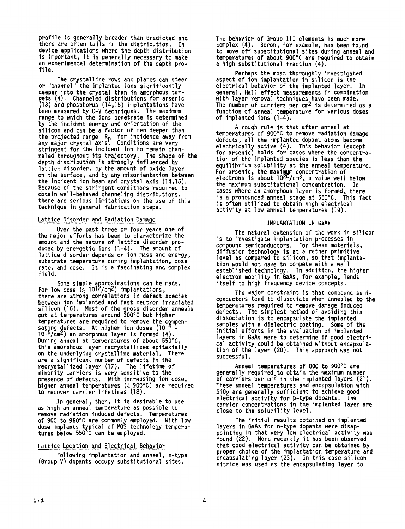**profile is generally broader than predicted and there are often tails in the distribution. In device applications where the depth distribution is important, it is generally necessary to make an experimental determination of the depth profile.** 

**The crystalline rows and planes can steer or "channel" the implanted ions significantly deeper into the crystal than in amorphous tar-** . **Channeled distributions for arsenic gets (4) 13) and phosphorus (14,15) implantations have been measured by C-V techniques. The maximum range to which the ions penetrate is determined by the incident energy and orientation of the silicon and can be a factor of ten deeper than the projected range Rp for incidence away from any major crystal axis. Conditions are very stringent for the incident ion to remain channeled throughout its trajectory. The shape of the depth distribution is strongly influenced by**  lattice disorder, by the amount of oxide laver **on the surface, and by any misorientation between the incident ion beam and crystal axis (14,15). Because of the stringent conditions required to obtain we1 1-behaved channeling distributions, there are serious limitations on the use of this technique in general fabrication steps.** 

# Lattice Disorder and Radiation Damage

**Over the past three or four years one of the major efforts has been to characterize the amount and the nature of lattice disorder produced by energetic ions (1-4). The amount of lattice disorder depends on ion mass and energy, substrate temperature during implantation, dose rate, and dose. It is a fascinating and complex field.** 

Some simple approximations can be made.<br>**For low dose (** $\frac{1}{2}$  **10<sup>12</sup>/cm<sup>2</sup>) implantations, there are strong correlations in defect species between ion implanted and fast neutron irradiated silicon (16). Most of the gross disorder anneals out at temperatures around 300°C but higher**  temperatures are required to remove the compen-<br>sating defects. At higher ion doses (10<sup>14</sup> -**10 tA /cm2) an amorphous layer is formed (4). During anneal at temperatures of about 550"C, this amorphous layer recrystallizes epitaxially on the underlying crystalline material. There are a significant number of defects in the recrystallized layer (17). The lifetime of minority carriers is very sensitive to the presence of defects. With increasing ion dose,**  higher anneal temperatures ( $\,zeta$  900°C) are required **to recover carrier lifetimes (18).** 

**as high an anneal temperature as possible to remove radiation induced defects. Temperatures of 900 to 950°C are commonly employed. With low dose implants typical of** MOS **technology temperatures below 550°C can be employed. In general, then, it is desirable to use** 

### Lattice Location and Electrical Behavior

**(Group V) dopants occupy substitutional sltes.**  Following implantation and anneal, n-type **The behavior of Group I11 elements is much more complex (4). Boron** , **for example, has been found to move off substitutional sites during anneal and temperatures of about 900°C are required to obtain a high substitutional fraction (4).** 

**aspect of ion implantation in silicon is the electrical behavior of the implanted layer. In general** , **Hall effect measurements in combination with layer removal techniques have been made. The number of carriers per cm2 Is determined as a function of anneal tem erature for various doses of implanted ions (1 -47. Perhaps the most thoroughly investigated** 

**A rough rule is that after anneal at temperatures of 900°C to remove radiation damage defects, all the implanted dopant atoms become electrical1 active (4). This behavior (except for arsenicj holds for cases where the concentration of the implanted species is less than the equilibrium solubility at the anneal temperature.**  For arsenic, the maximum concentration of **below** electrons is about 10<sup>20</sup>/cm<sup>3</sup>, a value well below **the maximum substitutional concentration. In cases where an amorphous layer is formed** , **there**  is a pronounced anneal stage at 550°C. This fact **is often utilized to obtain high electrical activity at low anneal temperatures (19).** 

## **IMPLANTATION IN GaAs**

**The natural extension of the work in silicon is to investigate implantation processes in**  compound semiconductors. For these materials, **diffusion technology is at a rather primitive level as compared to silicon, so that implantation would not have to compete with a well established technology. In addition, the higher electron mobility in GaAs, for example, lends itself to high frequency device concepts.** 

**conductors tend to dissociate when annealed to the temperatures required to remove damage induced defects. The simplest method of avoiding this dissociation is to encapsulate the implanted samples with a dielectric coating. Some of the initial efforts in the evaluation of implanted layers in GaAs were to determine if good electrical activity could be obtained without encapsula-tion of the layer (20). This approach was not successful. The major constraint is that compound semi-**

**generally required to obtain the maximum number of carriers per cm2 in the implanted layers (21). These anneal temperatures and encapsulation with Si02 are generally sufficient to achieve good electrical activity for p-type dopants. The carrier concentrations in the implanted layer are close to the solubility level. Anneal temperatures of 800 to 900°C are** 

**The initial results obtained on implanted layers in GaAs for n-type dopants were disappointing in that very low electrical activity was found (22). More recently it has been observed that good electrical activity can be obtained by proper choice of the im lantation temperature and encapsulating layer (237. In this case silicon nitride was used as the encapsulating layer to**